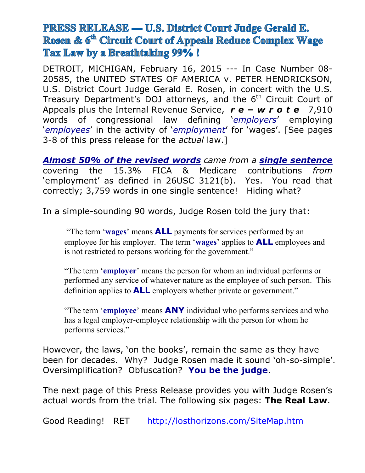# **PRESS RELEASE — U.S. District Court Judge Gerald E.** Rosen & 6<sup>th</sup> Circuit Court of Appeals Reduce Complex Wage Tax Law by a Breathtaking 99%!

DETROIT, MICHIGAN, February 16, 2015 --- In Case Number 08- 20585, the UNITED STATES OF AMERICA v. PETER HENDRICKSON, U.S. District Court Judge Gerald E. Rosen, in concert with the U.S. Treasury Department's DOJ attorneys, and the  $6<sup>th</sup>$  Circuit Court of Appeals plus the Internal Revenue Service, *r e – w r o t e* 7,910 words of congressional law defining '*employers*' employing '*employees*' in the activity of '*employment*' for 'wages'. [See pages 3-8 of this press release for the *actual* law.]

*Almost 50% of the revised words came from a single sentence* covering the 15.3% FICA & Medicare contributions *from* 'employment' as defined in 26USC 3121(b). Yes. You read that correctly; 3,759 words in one single sentence! Hiding what?

In a simple-sounding 90 words, Judge Rosen told the jury that:

"The term '**wages**' means **ALL** payments for services performed by an employee for his employer. The term '**wages**' applies to **ALL** employees and is not restricted to persons working for the government."

"The term '**employer**' means the person for whom an individual performs or performed any service of whatever nature as the employee of such person. This definition applies to **ALL** employers whether private or government."

"The term '**employee**' means **ANY** individual who performs services and who has a legal employer-employee relationship with the person for whom he performs services."

However, the laws, 'on the books', remain the same as they have been for decades. Why? Judge Rosen made it sound 'oh-so-simple'. Oversimplification? Obfuscation? **You be the judge**.

The next page of this Press Release provides you with Judge Rosen's actual words from the trial. The following six pages: **The Real Law**.

Good Reading! RET <http://losthorizons.com/SiteMap.htm>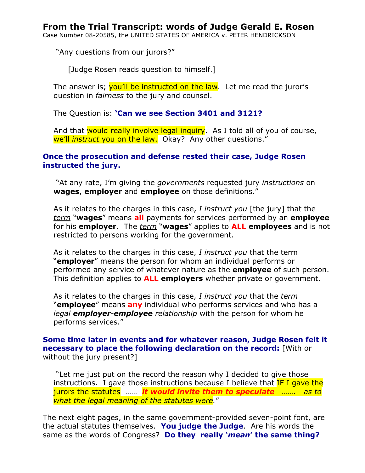Case Number 08-20585, the UNITED STATES OF AMERICA v. PETER HENDRICKSON

"Any questions from our jurors?"

[Judge Rosen reads question to himself.]

The answer is; you'll be instructed on the law. Let me read the juror's question in *fairness* to the jury and counsel.

The Question is: **'Can we see Section 3401 and 3121?**

And that would really involve legal inquiry. As I told all of you of course, we'll *instruct* you on the law. Okay? Any other questions."

# **Once the prosecution and defense rested their case, Judge Rosen instructed the jury.**

"At any rate, I'm giving the *governments* requested jury *instructions* on **wages**, **employer** and **employee** on those definitions."

As it relates to the charges in this case, *I instruct you* [the jury] that the *term* "**wages**" means **all** payments for services performed by an **employee** for his **employer**. The *term* "**wages**" applies to **ALL employees** and is not restricted to persons working for the government.

As it relates to the charges in this case, *I instruct you* that the term "**employer**" means the person for whom an individual performs or performed any service of whatever nature as the **employee** of such person. This definition applies to **ALL employers** whether private or government.

As it relates to the charges in this case, *I instruct you* that the *term* "**employee**" means **any** individual who performs services and who has a *legal employer-employee relationship* with the person for whom he performs services."

# **Some time later in events and for whatever reason, Judge Rosen felt it necessary to place the following declaration on the record:** [With or without the jury present?]

"Let me just put on the record the reason why I decided to give those instructions. I gave those instructions because I believe that **IF I gave the** jurors the statutes …… *it would invite them to speculate ……. as to what the legal meaning of the statutes were.*"

The next eight pages, in the same government-provided seven-point font, are the actual statutes themselves. **You judge the Judge**. Are his words the same as the words of Congress? **Do they really '***mean***' the same thing?**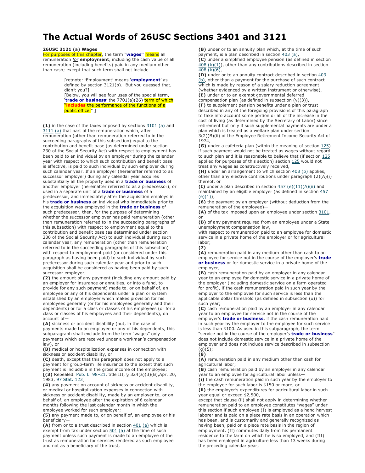# **The Actual Words of 26USC Sections 3401 and 3121**

#### **26USC 3121 (a) Wages**

For purposes of this chapter, the term "**wages"** means all remuneration *for* **employment**, including the cash value of all remuneration (including benefits) paid in any medium other than cash; except that such term shall not include—

> [retnote: 'Employment' means '**employment**' as defined by section 3121(b). But you guessed that, didn't you?]

[Below, you will see four uses of the special term, **trade or business'** the 7701(a)(26) term of which "**includes** the performance of the functions of a public office." ]

**(1)** in the case of the taxes imposed by sections 3101 (a) and 3111 (a) that part of the remuneration which, after remuneration (other than remuneration referred to in the succeeding paragraphs of this subsection) equal to the contribution and benefit base (as determined under section 230 of the Social Security Act) with respect to employment has been paid to an individual by an employer during the calendar year with respect to which such contribution and benefit base is effective, is paid to such individual by such employer during such calendar year. If an employer (hereinafter referred to as successor employer) during any calendar year acquires substantially all the property used in a **trade or business** of another employer (hereinafter referred to as a predecessor), or used in a separate unit of a **trade or business** of a predecessor, and immediately after the acquisition employs in his **trade or business** an individual who immediately prior to the acquisition was employed in the **trade or business** of

such predecessor, then, for the purpose of determining whether the successor employer has paid remuneration (other than remuneration referred to in the succeeding paragraphs of this subsection) with respect to employment equal to the contribution and benefit base (as determined under section 230 of the Social Security Act) to such individual during such calendar year, any remuneration (other than remuneration referred to in the succeeding paragraphs of this subsection) with respect to employment paid (or considered under this paragraph as having been paid) to such individual by such predecessor during such calendar year and prior to such acquisition shall be considered as having been paid by such successor employer;

**(2)** the amount of any payment (including any amount paid by an employer for insurance or annuities, or into a fund, to provide for any such payment) made to, or on behalf of, an employee or any of his dependents under a plan or system established by an employer which makes provision for his employees generally (or for his employees generally and their dependents) or for a class or classes of his employees (or for a class or classes of his employees and their dependents), on account of—

**(A)** sickness or accident disability (but, in the case of payments made to an employee or any of his dependents, this subparagraph shall exclude from the term "wages" only payments which are received under a workman's compensation law), or

**(B)** medical or hospitalization expenses in connection with sickness or accident disability, or

**(C)** death, except that this paragraph does not apply to a payment for group-term life insurance to the extent that such payment is includible in the gross income of the employee; **[(3)** Repealed. Pub. L. 98–21, title III, § 324(a)(3)(B),Apr. 20, 1983, 97 Stat. 123]

**(4)** any payment on account of sickness or accident disability, or medical or hospitalization expenses in connection with sickness or accident disability, made by an employer to, or on behalf of, an employee after the expiration of 6 calendar months following the last calendar month in which the employee worked for such employer;

**(5)** any payment made to, or on behalf of, an employee or his beneficiary—

(A) from or to a trust described in section  $401$  (a) which is exempt from tax under section  $501$  (a) at the time of such payment unless such payment is made to an employee of the trust as remuneration for services rendered as such employee and not as a beneficiary of the trust,

**(B)** under or to an annuity plan which, at the time of such payment, is a plan described in section 403 (a),

**(C)** under a simplified employee pension (as defined in section 408 (k)(1)), other than any contributions described in section  $\sqrt{408}$  (k)(6),

**(D)** under or to an annuity contract described in section 403 (b), other than a payment for the purchase of such contract which is made by reason of a salary reduction agreement (whether evidenced by a written instrument or otherwise),

**(E)** under or to an exempt governmental deferred compensation plan (as defined in subsection (v)(3)),

**(F)** to supplement pension benefits under a plan or trust described in any of the foregoing provisions of this paragraph to take into account some portion or all of the increase in the cost of living (as determined by the Secretary of Labor) since

retirement but only if such supplemental payments are under a plan which is treated as a welfare plan under section 3(2)(B)(ii) of the Employee Retirement Income Security Act of

1974,

**(G)** under a cafeteria plan (within the meaning of section 125) if such payment would not be treated as wages without regard to such plan and it is reasonable to believe that (if section 125 applied for purposes of this section) section 125 would not treat any wages as constructively received,

(H) under an arrangement to which section 408 (p) applies, other than any elective contributions under paragraph  $(2)(A)(i)$ thereof, or

**(I)** under a plan described in section 457 (e)(11)(A)(ii) and maintained by an eligible employer (as defined in section 457  $(e)(1));$ 

**(6)** the payment by an employer (without deduction from the remuneration of the employee)—

**(A)** of the tax imposed upon an employee under section 3101, or

**(B)** of any payment required from an employee under a State unemployment compensation law,

with respect to remuneration paid to an employee for domestic service in a private home of the employer or for agricultural labor;

**(7)**

**(A)** remuneration paid in any medium other than cash to an employee for service not in the course of the employer's **trade or business** or for domestic service in a private home of the employer;

**(B)** cash remuneration paid by an employer in any calendar year to an employee for domestic service in a private home of the employer (including domestic service on a farm operated for profit), if the cash remuneration paid in such year by the employer to the employee for such service is less than the applicable dollar threshold (as defined in subsection (x)) for such year;

**(C)** cash remuneration paid by an employer in any calendar year to an employee for service not in the course of the employer's **trade or business**, if the cash remuneration paid in such year by the employer to the employee for such service is less than \$100. As used in this subparagraph, the term "service not in the course of the employer's **trade or business**" does not include domestic service in a private home of the employer and does not include service described in subsection  $(g)(5);$ 

**(8)**

**(A)** remuneration paid in any medium other than cash for agricultural labor;

**(B)** cash remuneration paid by an employer in any calendar year to an employee for agricultural labor unless-**(i)** the cash remuneration paid in such year by the employer to

the employee for such labor is \$150 or more, or **(ii)** the employer's expenditures for agricultural labor in such year equal or exceed \$2,500,

except that clause (ii) shall not apply in determining whether remuneration paid to an employee constitutes "wages" under this section if such employee (I) is employed as a hand harvest laborer and is paid on a piece rate basis in an operation which has been, and is customarily and generally recognized as having been, paid on a piece rate basis in the region of employment, (II) commutes daily from his permanent residence to the farm on which he is so employed, and (III) has been employed in agriculture less than 13 weeks during the preceding calendar year;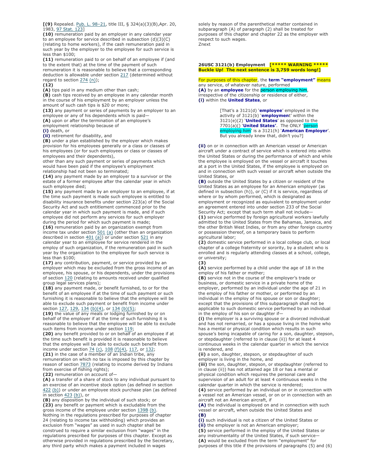**[(9)** Repealed. Pub. L. 98–21, title III, § 324(a)(3)(B),Apr. 20, 1983, 97 Stat. 123]

**(10)** remuneration paid by an employer in any calendar year to an employee for service described in subsection (d)(3)(C) (relating to home workers), if the cash remuneration paid in such year by the employer to the employee for such service is less than \$100;

**(11)** remuneration paid to or on behalf of an employee if (and to the extent that) at the time of the payment of such remuneration it is reasonable to believe that a corresponding deduction is allowable under section 217 (determined without regard to section 274 (n));

**(12)**

**(A)** tips paid in any medium other than cash;

**(B)** cash tips received by an employee in any calendar month in the course of his employment by an employer unless the amount of such cash tips is \$20 or more;

**(13)** any payment or series of payments by an employer to an employee or any of his dependents which is paid—

**(A)** upon or after the termination of an employee's

employment relationship because of

**(i)** death, or

**(ii)** retirement for disability, and

**(B)** under a plan established by the employer which makes provision for his employees generally or a class or classes of his employees (or for such employees or class or classes of employees and their dependents),

other than any such payment or series of payments which would have been paid if the employee's employment relationship had not been so terminated;

**(14)** any payment made by an employer to a survivor or the estate of a former employee after the calendar year in which such employee died;

**(15)** any payment made by an employer to an employee, if at the time such payment is made such employee is entitled to disability insurance benefits under section 223(a) of the Social Security Act and such entitlement commenced prior to the calendar year in which such payment is made, and if such employee did not perform any services for such employer during the period for which such payment is made;

**(16)** remuneration paid by an organization exempt from income tax under section  $501$  (a) (other than an organization described in section  $401$  (a)) or under section  $521$  in any calendar year to an employee for service rendered in the employ of such organization, if the remuneration paid in such year by the organization to the employee for such service is less than \$100;

**(17)** any contribution, payment, or service provided by an employer which may be excluded from the gross income of an employee, his spouse, or his dependents, under the provisions of section 120 (relating to amounts received under qualified group legal services plans);

**(18)** any payment made, or benefit furnished, to or for the benefit of an employee if at the time of such payment or such furnishing it is reasonable to believe that the employee will be able to exclude such payment or benefit from income under section 127, 129, 134 (b)(4), or 134 (b)(5);

**(19)** the value of any meals or lodging furnished by or on behalf of the employer if at the time of such furnishing it is reasonable to believe that the employee will be able to exclude such items from income under section 119;

**(20)** any benefit provided to or on behalf of an employee if at the time such benefit is provided it is reasonable to believe that the employee will be able to exclude such benefit from income under section  $\frac{74}{10}$  (c),  $\frac{108}{10}$  (f)(4),  $\frac{117}{10}$ , or  $\frac{132}{10}$ ;

**(21)** in the case of a member of an Indian tribe, any remuneration on which no tax is imposed by this chapter by reason of section **7873** (relating to income derived by Indians from exercise of fishing rights);

**(22)** remuneration on account of—

**(A)** a transfer of a share of stock to any individual pursuant to an exercise of an incentive stock option (as defined in section 422 (b)) or under an employee stock purchase plan (as defined in section 423 (b)), or

**(B)** any disposition by the individual of such stock; or **(23)** any benefit or payment which is excludable from the gross income of the employee under section 139B (b). Nothing in the regulations prescribed for purposes of chapter 24 (relating to income tax withholding) which provides an exclusion from "wages" as used in such chapter shall be construed to require a similar exclusion from "wages" in the regulations prescribed for purposes of this chapter. Except as otherwise provided in regulations prescribed by the Secretary, any third party which makes a payment included in wages

solely by reason of the parenthetical matter contained in subparagraph (A) of paragraph (2) shall be treated for purposes of this chapter and chapter 22 as the employer with respect to such wages. Znext

#### **26USC 3121(b) Employment [\*\*\*\*\* WARNING \*\*\*\*\* Buckle Up! The next sentence is 3,759 words long!]**

For purposes of this chapter, the **term "employment"** means any service, of whatever nature, performed **(A)** by an **employee** for the person employing him, irrespective of the citizenship or residence of either, **(i)** within the **United States**, or

> [That's a 3121(d) '**employee**' employed in the activity of 3121(b) '**employmen**t' within the 3121(e)(2) '**United States**' as opposed to the 7701(a)() '**United States'**. The ONLY 'person employing him' is a 3121(h) '**American Employer**'. But you already knew that, didn't you?]

**(ii)** on or in connection with an American vessel or American aircraft under a contract of service which is entered into within the United States or during the performance of which and while the employee is employed on the vessel or aircraft it touches at a port in the United States, if the employee is employed on and in connection with such vessel or aircraft when outside the United States, or

**(B)** outside the United States by a citizen or resident of the United States as an employee for an American employer (as defined in subsection (h)), or (C) if it is service, regardless of where or by whom performed, which is designated as employment or recognized as equivalent to employment under an agreement entered into under section 233 of the Social Security Act; except that such term shall not include— **(1)** service performed by foreign agricultural workers lawfully admitted to the United States from the Bahamas, Jamaica, and the other British West Indies, or from any other foreign country or possession thereof, on a temporary basis to perform agricultural labor;

**(2)** domestic service performed in a local college club, or local chapter of a college fraternity or sorority, by a student who is enrolled and is regularly attending classes at a school, college, or university;

#### **(3) (A)** service performed by a child under the age of 18 in the employ of his father or mother;

**(B)** service not in the course of the employer's trade or business, or domestic service in a private home of the employer, performed by an individual under the age of 21 in the employ of his father or mother, or performed by an individual in the employ of his spouse or son or daughter; except that the provisions of this subparagraph shall not be applicable to such domestic service performed by an individual in the employ of his son or daughter if—

**(i)** the employer is a surviving spouse or a divorced individual and has not remarried, or has a spouse living in the home who has a mental or physical condition which results in such spouse's being incapable of caring for a son, daughter, stepson, or stepdaughter (referred to in clause (ii)) for at least 4 continuous weeks in the calendar quarter in which the service is rendered, and

**(ii)** a son, daughter, stepson, or stepdaughter of such employer is living in the home, and

**(iii)** the son, daughter, stepson, or stepdaughter (referred to in clause (ii)) has not attained age 18 or has a mental or physical condition which requires the personal care and supervision of an adult for at least 4 continuous weeks in the calendar quarter in which the service is rendered;

**(4)** service performed by an individual on or in connection with a vessel not an American vessel, or on or in connection with an aircraft not an American aircraft, if

**(A)** the individual is employed on and in connection with such vessel or aircraft, when outside the United States and **(B)**

**(i)** such individual is not a citizen of the United States or

**(ii)** the employer is not an American employer;

**(5)** service performed in the employ of the United States or any instrumentality of the United States, if such service—

**(A)** would be excluded from the term "employment" for

purposes of this title if the provisions of paragraphs (5) and (6)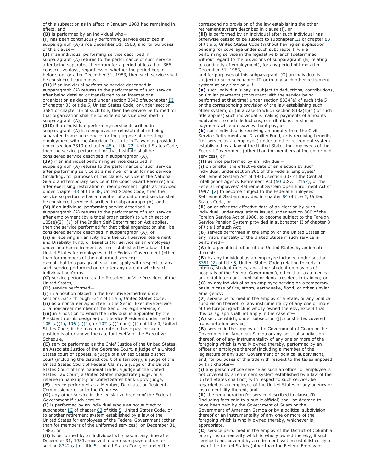of this subsection as in effect in January 1983 had remained in effect, and

**(B)** is performed by an individual who—

**(i)** has been continuously performing service described in subparagraph (A) since December 31, 1983, and for purposes of this clause—

**(I)** if an individual performing service described in subparagraph (A) returns to the performance of such service after being separated therefrom for a period of less than 366 consecutive days, regardless of whether the period began before, on, or after December 31, 1983, then such service shall be considered continuous,

**(II)** if an individual performing service described in subparagraph (A) returns to the performance of such service after being detailed or transferred to an international organization as described under section 3343 ofsubchapter III of chapter 33 of title 5, United States Code, or under section 3581 of chapter 35 of such title, then the service performed for that organization shall be considered service described in subparagraph (A),

**(III)** if an individual performing service described in subparagraph (A) is reemployed or reinstated after being separated from such service for the purpose of accepting employment with the American Institute in Taiwan as provided under section 3310 ofchapter 48 of title 22, United States Code, then the service performed for that Institute shall be considered service described in subparagraph (A),

**(IV)** if an individual performing service described in subparagraph (A) returns to the performance of such service after performing service as a member of a uniformed service (including, for purposes of this clause, service in the National Guard and temporary service in the Coast Guard Reserve) and after exercising restoration or reemployment rights as provided under chapter 43 of title 38, United States Code, then the service so performed as a member of a uniformed service shall be considered service described in subparagraph (A), and **(V)** if an individual performing service described in

subparagraph (A) returns to the performance of such service after employment (by a tribal organization) to which section 105(e)(2) [1] of the Indian Self-Determination Act applies, then the service performed for that tribal organization shall be considered service described in subparagraph (A); or

**(ii)** is receiving an annuity from the Civil Service Retirement and Disability Fund, or benefits (for service as an employee) under another retirement system established by a law of the United States for employees of the Federal Government (other than for members of the uniformed service);

except that this paragraph shall not apply with respect to any such service performed on or after any date on which such individual performs—

**(C)** service performed as the President or Vice President of the United States,

**(D)** service performed—

**(i)** in a position placed in the Executive Schedule under sections 5312 through 5317 of title 5, United States Code, **(ii)** as a noncareer appointee in the Senior Executive Service or a noncareer member of the Senior Foreign Service, or **(iii)** in a position to which the individual is appointed by the President (or his designee) or the Vice President under section 105 (a)(1), 106 (a)(1), or 107 (a)(1) or (b)(1) of title 3, United States Code, if the maximum rate of basic pay for such position is at or above the rate for level V of the Executive Schedule,

**(E)** service performed as the Chief Justice of the United States, an Associate Justice of the Supreme Court, a judge of a United States court of appeals, a judge of a United States district court (including the district court of a territory), a judge of the United States Court of Federal Claims, a judge of the United States Court of International Trade, a judge of the United States Tax Court, a United States magistrate judge, or a referee in bankruptcy or United States bankruptcy judge, **(F)** service performed as a Member, Delegate, or Resident Commissioner of or to the Congress,

**(G)** any other service in the legislative branch of the Federal Government if such service—

**(i)** is performed by an individual who was not subject to subchapter III of chapter 83 of title 5, United States Code, or to another retirement system established by a law of the United States for employees of the Federal Government (other than for members of the uniformed services), on December 31, 1983, or

**(ii)** is performed by an individual who has, at any time after December 31, 1983, received a lump-sum payment under section 8342 (a) of title 5, United States Code, or under the

corresponding provision of the law establishing the other retirement system described in clause (i), or

**(iii)** is performed by an individual after such individual has otherwise ceased to be subject to subchapter  $III$  of chapter  $83$ of title 5, United States Code (without having an application pending for coverage under such subchapter), while performing service in the legislative branch (determined without regard to the provisions of subparagraph (B) relating to continuity of employment), for any period of time after December 31, 1983,

and for purposes of this subparagraph (G) an individual is subject to such subchapter III or to any such other retirement system at any time only if

**(a)** such individual's pay is subject to deductions, contributions, or similar payments (concurrent with the service being performed at that time) under section 8334(a) of such title 5 or the corresponding provision of the law establishing such other system, or (in a case to which section  $8332(k)(1)$  of such title applies) such individual is making payments of amounts equivalent to such deductions, contributions, or similar payments while on leave without pay, or

**(b)** such individual is receiving an annuity from the Civil Service Retirement and Disability Fund, or is receiving benefits (for service as an employee) under another retirement system established by a law of the United States for employees of the Federal Government (other than for members of the uniformed services), or

**(H)** service performed by an individual—

**(i)** on or after the effective date of an election by such individual, under section 301 of the Federal Employees' Retirement System Act of 1986, section 307 of the Central Intelligence Agency Retirement Act (50 U.S.C. 2157), or the Federal Employees' Retirement System Open Enrollment Act of 1997 [2] to become subject to the Federal Employees' Retirement System provided in chapter 84 of title 5, United States Code, or

**(ii)** on or after the effective date of an election by such individual, under regulations issued under section 860 of the Foreign Service Act of 1980, to become subject to the Foreign Service Pension System provided in subchapter II of chapter 8 of title I of such Act;

**(6)** service performed in the employ of the United States or any instrumentality of the United States if such service is performed—

**(A)** in a penal institution of the United States by an inmate thereof;

**(B)** by any individual as an employee included under section 5351 (2) of title 5, United States Code (relating to certain interns, student nurses, and other student employees of hospitals of the Federal Government), other than as a medical or dental intern or a medical or dental resident in training; or **(C)** by any individual as an employee serving on a temporary basis in case of fire, storm, earthquake, flood, or other similar emergency;

**(7)** service performed in the employ of a State, or any political subdivision thereof, or any instrumentality of any one or more of the foregoing which is wholly owned thereby, except that this paragraph shall not apply in the case of—

**(A)** service which, under subsection (j), constitutes covered transportation service,

**(B)** service in the employ of the Government of Guam or the Government of American Samoa or any political subdivision thereof, or of any instrumentality of any one or more of the foregoing which is wholly owned thereby, performed by an officer or employee thereof (including a member of the legislature of any such Government or political subdivision), and, for purposes of this title with respect to the taxes imposed by this chapter—

**(i)** any person whose service as such an officer or employee is not covered by a retirement system established by a law of the United States shall not, with respect to such service, be regarded as an employee of the United States or any agency or

instrumentality thereof, and **(ii)** the remuneration for service described in clause (i) (including fees paid to a public official) shall be deemed to have been paid by the Government of Guam or the Government of American Samoa or by a political subdivision thereof or an instrumentality of any one or more of the foregoing which is wholly owned thereby, whichever is appropriate,

**(C)** service performed in the employ of the District of Columbia or any instrumentality which is wholly owned thereby, if such service is not covered by a retirement system established by a law of the United States (other than the Federal Employees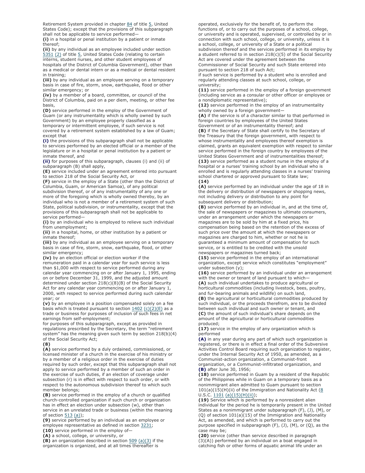Retirement System provided in chapter 84 of title 5, United States Code); except that the provisions of this subparagraph shall not be applicable to service performed—

**(i)** in a hospital or penal institution by a patient or inmate thereof;

**(ii)** by any individual as an employee included under section  $\frac{5351}{2}$  (2) of title  $\frac{5}{2}$ , United States Code (relating to certain interns, student nurses, and other student employees of hospitals of the District of Columbia Government), other than as a medical or dental intern or as a medical or dental resident in training;

**(iii)** by any individual as an employee serving on a temporary basis in case of fire, storm, snow, earthquake, flood or other similar emergency; or

**(iv)** by a member of a board, committee, or council of the District of Columbia, paid on a per diem, meeting, or other fee basis,

**(D)** service performed in the employ of the Government of Guam (or any instrumentality which is wholly owned by such Government) by an employee properly classified as a temporary or intermittent employee, if such service is not covered by a retirement system established by a law of Guam; except that

**(i)** the provisions of this subparagraph shall not be applicable to services performed by an elected official or a member of the legislature or in a hospital or penal institution by a patient or inmate thereof, and

**(ii)** for purposes of this subparagraph, clauses (i) and (ii) of subparagraph (B) shall apply,

**(E)** service included under an agreement entered into pursuant to section 218 of the Social Security Act, or

**(F)** service in the employ of a State (other than the District of Columbia, Guam, or American Samoa), of any political

subdivision thereof, or of any instrumentality of any one or more of the foregoing which is wholly owned thereby, by an individual who is not a member of a retirement system of such State, political subdivision, or instrumentality, except that the provisions of this subparagraph shall not be applicable to service performed—

**(i)** by an individual who is employed to relieve such individual from unemployment;

**(ii)** in a hospital, home, or other institution by a patient or inmate thereof;

**(iii)** by any individual as an employee serving on a temporary basis in case of fire, storm, snow, earthquake, flood, or other similar emergency;

**(iv)** by an election official or election worker if the remuneration paid in a calendar year for such service is less than \$1,000 with respect to service performed during any calendar year commencing on or after January 1, 1995, ending on or before December 31, 1999, and the adjusted amount determined under section 218(c)(8)(B) of the Social Security Act for any calendar year commencing on or after January 1, 2000, with respect to service performed during such calendar year; or

**(v)** by an employee in a position compensated solely on a fee basis which is treated pursuant to section  $1402$  (c)(2)(E) as a trade or business for purposes of inclusion of such fees in net earnings from self-employment;

for purposes of this subparagraph, except as provided in regulations prescribed by the Secretary, the term "retirement system" has the meaning given such term by section 218(b)(4) of the Social Security Act;

#### **(8)**

**(A)** service performed by a duly ordained, commissioned, or licensed minister of a church in the exercise of his ministry or by a member of a religious order in the exercise of duties required by such order, except that this subparagraph shall not apply to service performed by a member of such an order in the exercise of such duties, if an election of coverage under subsection (r) is in effect with respect to such order, or with respect to the autonomous subdivision thereof to which such member belongs;

**(B)** service performed in the employ of a church or qualified church-controlled organization if such church or organization has in effect an election under subsection (w), other than service in an unrelated trade or business (within the meaning of section  $513$  (a));

**(9)** service performed by an individual as an employee or employee representative as defined in section 3231;

**(10)** service performed in the employ of—

**(A)** a school, college, or university, or

**(B)** an organization described in section 509 (a)(3) if the organization is organized, and at all times thereafter is

operated, exclusively for the benefit of, to perform the functions of, or to carry out the purposes of a school, college, or university and is operated, supervised, or controlled by or in connection with such school, college, or university, unless it is a school, college, or university of a State or a political subdivision thereof and the services performed in its employ by a student referred to in section 218(c)(5) of the Social Security Act are covered under the agreement between the Commissioner of Social Security and such State entered into

pursuant to section 218 of such Act; if such service is performed by a student who is enrolled and regularly attending classes at such school, college, or university;

**(11)** service performed in the employ of a foreign government (including service as a consular or other officer or employee or a nondiplomatic representative);

**(12)** service performed in the employ of an instrumentality wholly owned by a foreign government—

**(A)** if the service is of a character similar to that performed in foreign countries by employees of the United States Government or of an instrumentality thereof; and

**(B)** if the Secretary of State shall certify to the Secretary of the Treasury that the foreign government, with respect to whose instrumentality and employees thereof exemption is claimed, grants an equivalent exemption with respect to similar service performed in the foreign country by employees of the United States Government and of instrumentalities thereof; **(13)** service performed as a student nurse in the employ of a hospital or a nurses' training school by an individual who is enrolled and is regularly attending classes in a nurses' training school chartered or approved pursuant to State law;

**(14)**

**(A)** service performed by an individual under the age of 18 in the delivery or distribution of newspapers or shopping news, not including delivery or distribution to any point for subsequent delivery or distribution;

**(B)** service performed by an individual in, and at the time of, the sale of newspapers or magazines to ultimate consumers, under an arrangement under which the newspapers or magazines are to be sold by him at a fixed price, his compensation being based on the retention of the excess of such price over the amount at which the newspapers or magazines are charged to him, whether or not he is guaranteed a minimum amount of compensation for such service, or is entitled to be credited with the unsold newspapers or magazines turned back;

**(15)** service performed in the employ of an international organization, except service which constitutes "employment" under subsection (y);

**(16)** service performed by an individual under an arrangement with the owner or tenant of land pursuant to which-

**(A)** such individual undertakes to produce agricultural or horticultural commodities (including livestock, bees, poultry, and fur-bearing animals and wildlife) on such land,

**(B)** the agricultural or horticultural commodities produced by such individual, or the proceeds therefrom, are to be divided between such individual and such owner or tenant, and **(C)** the amount of such individual's share depends on the amount of the agricultural or horticultural commodities produced;

**(17)** service in the employ of any organization which is performed

**(A)** in any year during any part of which such organization is registered, or there is in effect a final order of the Subversive Activities Control Board requiring such organization to register, under the Internal Security Act of 1950, as amended, as a Communist-action organization, a Communist-front organization, or a Communist-infiltrated organization, and **(B)** after June 30, 1956;

**(18)** service performed in Guam by a resident of the Republic of the Philippines while in Guam on a temporary basis as a nonimmigrant alien admitted to Guam pursuant to section 101(a)(15)(H)(ii) of the Immigration and Nationality Act (8 U.S.C.  $1101$  (a)(15)(H)(ii));

**(19)** Service which is performed by a nonresident alien individual for the period he is temporarily present in the United States as a nonimmigrant under subparagraph (F), (J), (M), or (Q) of section 101(a)(15) of the Immigration and Nationality Act, as amended, and which is performed to carry out the purpose specified in subparagraph (F), (J), (M), or (Q), as the case may be;

**(20)** service (other than service described in paragraph (3)(A)) performed by an individual on a boat engaged in catching fish or other forms of aquatic animal life under an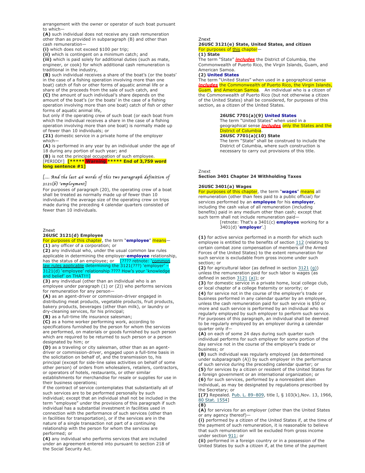arrangement with the owner or operator of such boat pursuant to which—

**(A)** such individual does not receive any cash remuneration other than as provided in subparagraph (B) and other than cash remuneration—

**(i)** which does not exceed \$100 per trip;

**(ii)** which is contingent on a minimum catch; and

**(iii)** which is paid solely for additional duties (such as mate, engineer, or cook) for which additional cash remuneration is traditional in the industry,

**(B)** such individual receives a share of the boat's (or the boats' in the case of a fishing operation involving more than one boat) catch of fish or other forms of aquatic animal life or a

share of the proceeds from the sale of such catch, and **(C)** the amount of such individual's share depends on the amount of the boat's (or the boats' in the case of a fishing operation involving more than one boat) catch of fish or other forms of aquatic animal life,

but only if the operating crew of such boat (or each boat from which the individual receives a share in the case of a fishing operation involving more than one boat) is normally made up of fewer than 10 individuals; or

**(21)** domestic service in a private home of the employer which—

**(A)** is performed in any year by an individual under the age of 18 during any portion of such year; and

**(B)** is not the principal occupation of such employee. [PERIOD!] **[\*\*\*\*\* Warning \*\*\*\*\* End of 3,759 word long sentence #1]**

## [*…. And the last 46 words of this two paragraph definition of 3121*(*b*)'*employment*]

For purposes of paragraph (20), the operating crew of a boat shall be treated as normally made up of fewer than 10 individuals if the average size of the operating crew on trips made during the preceding 4 calendar quarters consisted of fewer than 10 individuals.

Znext

## **26USC 3121(d) Employee**

#### For purposes of this chapter, the term "**employee**" means— **(1)** any officer of a corporation; or

**(2)** any individual who, under the usual common law rules applicable in determining the employer-**employee** relationship, has the status of an employee; or [???? retnote: 'common law rules applicable determining the 3121(???) 'employer' – 3121(d) 'employee' relationship ???? How's your 'knowledge and belief' on THAT!!!]

**(3)** any individual (other than an individual who is an employee under paragraph (1) or (2)) who performs services for remuneration for any person—

**(A)** as an agent-driver or commission-driver engaged in distributing meat products, vegetable products, fruit products, bakery products, beverages (other than milk), or laundry or dry-cleaning services, for his principal;

**(B)** as a full-time life insurance salesman;

**(C)** as a home worker performing work, according to specifications furnished by the person for whom the services are performed, on materials or goods furnished by such person

which are required to be returned to such person or a person designated by him; or

**(D)** as a traveling or city salesman, other than as an agentdriver or commission-driver, engaged upon a full-time basis in the solicitation on behalf of, and the transmission to, his principal (except for side-line sales activities on behalf of some other person) of orders from wholesalers, retailers, contractors, or operators of hotels, restaurants, or other similar

establishments for merchandise for resale or supplies for use in their business operations;

if the contract of service contemplates that substantially all of such services are to be performed personally by such individual; except that an individual shall not be included in the term "employee" under the provisions of this paragraph if such individual has a substantial investment in facilities used in connection with the performance of such services (other than in facilities for transportation), or if the services are in the nature of a single transaction not part of a continuing relationship with the person for whom the services are performed; or

**(4)** any individual who performs services that are included under an agreement entered into pursuant to section 218 of the Social Security Act.

#### Znext

### **26USC 3121(e) State, United States, and citizen** For purposes of this chapter

#### **(1) State**

The term "State" *includes* the District of Columbia, the Commonwealth of Puerto Rico, the Virgin Islands, Guam, and American Samoa.

## **(2) United States**

The term "United States" when used in a geographical sense *includes* the Commonwealth of Puerto Rico, the Virgin Islands, Guam, and American Samoa. An individual who is a citizen of the Commonwealth of Puerto Rico (but not otherwise a citizen of the United States) shall be considered, for purposes of this section, as a citizen of the United States.

#### **26USC 7701(a)(9) United States**

The term "United States" when used in a geographical sense *includes* only the States and the District of Columbia.

#### **26USC 7701(a)(10) State**

The term "State" shall be construed to include the District of Columbia, where such construction is necessary to carry out provisions of this title.

Znext

#### **Section 3401 Chapter 24 Withholding Taxes**

#### **26USC 3401(a) Wages**

For purposes of this chapter, the term "**wages**" means all remuneration (other than fees paid to a public official) for services performed by an **employee** for his **employer**, including the cash value of all remuneration (including benefits) paid in any medium other than cash; except that such term shall not include remuneration paid—

[retnote: That's a 3401(c) **employee** working for a 3401(d) '**employer**'.]

**(1)** for active service performed in a month for which such employee is entitled to the benefits of section 112 (relating to certain combat zone compensation of members of the Armed Forces of the United States) to the extent remuneration for such service is excludable from gross income under such section; or

**(2)** for agricultural labor (as defined in section 3121 (g)) unless the remuneration paid for such labor is wages (as defined in section  $3121$  (a)); or

**(3)** for domestic service in a private home, local college club, or local chapter of a college fraternity or sorority; or **(4)** for service not in the course of the employer's trade or business performed in any calendar quarter by an employee, unless the cash remuneration paid for such service is \$50 or more and such service is performed by an individual who is regularly employed by such employer to perform such service. For purposes of this paragraph, an individual shall be deemed to be regularly employed by an employer during a calendar quarter only if—

**(A)** on each of some 24 days during such quarter such individual performs for such employer for some portion of the day service not in the course of the employer's trade or business; or

**(B)** such individual was regularly employed (as determined under subparagraph (A)) by such employer in the performance of such service during the preceding calendar quarter; or **(5)** for services by a citizen or resident of the United States for

a foreign government or an international organization; or **(6)** for such services, performed by a nonresident alien individual, as may be designated by regulations prescribed by

the Secretary; or **[(7)** Repealed. Pub. L. 89–809, title I, § 103(k),Nov. 13, 1966,

80 Stat. 1554]

**(8) (A)** for services for an employer (other than the United States or any agency thereof)—

**(i)** performed by a citizen of the United States if, at the time of the payment of such remuneration, it is reasonable to believe that such remuneration will be excluded from gross income under section 911; or

**(ii)** performed in a foreign country or in a possession of the United States by such a citizen if, at the time of the payment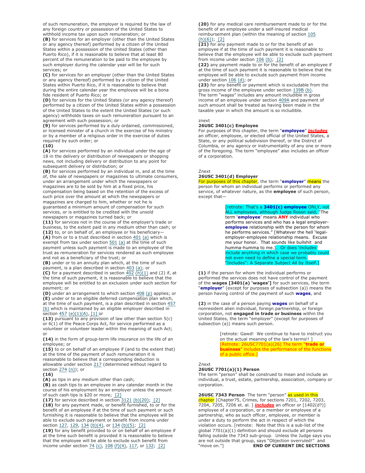of such remuneration, the employer is required by the law of any foreign country or possession of the United States to withhold income tax upon such remuneration; or

**(B)** for services for an employer (other than the United States or any agency thereof) performed by a citizen of the United States within a possession of the United States (other than Puerto Rico), if it is reasonable to believe that at least 80 percent of the remuneration to be paid to the employee by such employer during the calendar year will be for such services; or

**(C)** for services for an employer (other than the United States or any agency thereof) performed by a citizen of the United States within Puerto Rico, if it is reasonable to believe that during the entire calendar year the employee will be a bona fide resident of Puerto Rico; or

**(D)** for services for the United States (or any agency thereof) performed by a citizen of the United States within a possession of the United States to the extent the United States (or such agency) withholds taxes on such remuneration pursuant to an agreement with such possession; or

**(9)** for services performed by a duly ordained, commissioned, or licensed minister of a church in the exercise of his ministry or by a member of a religious order in the exercise of duties required by such order; or

## **(10)**

**(A)** for services performed by an individual under the age of 18 in the delivery or distribution of newspapers or shopping news, not including delivery or distribution to any point for subsequent delivery or distribution; or

**(B)** for services performed by an individual in, and at the time of, the sale of newspapers or magazines to ultimate consumers, under an arrangement under which the newspapers or magazines are to be sold by him at a fixed price, his compensation being based on the retention of the excess of such price over the amount at which the newspapers or magazines are charged to him, whether or not he is guaranteed a minimum amount of compensation for such services, or is entitled to be credited with the unsold newspapers or magazines turned back; or

**(11)** for services not in the course of the employer's trade or business, to the extent paid in any medium other than cash; or **(12)** to, or on behalf of, an employee or his beneficiary—

**(A)** from or to a trust described in section 401 (a) which is exempt from tax under section  $501$  (a) at the time of such payment unless such payment is made to an employee of the trust as remuneration for services rendered as such employee and not as a beneficiary of the trust; or

**(B)** under or to an annuity plan which, at the time of such payment, is a plan described in section 403 (a); or

**(C)** for a payment described in section  $\overline{402}$   $(h)(1)$  and (2) if, at the time of such payment, it is reasonable to believe that the employee will be entitled to an exclusion under such section for payment; or

**(D)** under an arrangement to which section 408 (p) applies; or **(E)** under or to an eligible deferred compensation plan which, at the time of such payment, is a plan described in section 457

(b) which is maintained by an eligible employer described in section  $457$  (e)(1)(A), [1] or

**(13)** pursuant to any provision of law other than section 5(c) or 6(1) of the Peace Corps Act, for service performed as a volunteer or volunteer leader within the meaning of such Act; or

**(14)** in the form of group-term life insurance on the life of an employee; or

**(15)** to or on behalf of an employee if (and to the extent that) at the time of the payment of such remuneration it is reasonable to believe that a corresponding deduction is allowable under section 217 (determined without regard to section 274 (n)); or

#### **(16)**

**(A)** as tips in any medium other than cash;

**(B)** as cash tips to an employee in any calendar month in the course of his employment by an employer unless the amount of such cash tips is \$20 or more; [2]

**(17)** for service described in section 3121 (b)(20); [2] **(18)** for any payment made, or benefit furnished, to or for the benefit of an employee if at the time of such payment or such furnishing it is reasonable to believe that the employee will be able to exclude such payment or benefit from income under section 127, 129, 134 (b)(4), or 134 (b)(5); [2]

**(19)** for any benefit provided to or on behalf of an employee if at the time such benefit is provided it is reasonable to believe that the employee will be able to exclude such benefit from income under section 74 (c), 108 (f)(4), 117, or 132; [2]

**(20)** for any medical care reimbursement made to or for the benefit of an employee under a self-insured medical reimbursement plan (within the meaning of section 105  $(h)(6))$ ; [2]

**(21)** for any payment made to or for the benefit of an employee if at the time of such payment it is reasonable to believe that the employee will be able to exclude such payment from income under section  $106$  (b); [2]

**(22)** any payment made to or for the benefit of an employee if at the time of such payment it is reasonable to believe that the employee will be able to exclude such payment from income under section  $106$  (d); or

**(23)** for any benefit or payment which is excludable from the gross income of the employee under section 139B (b). The term "wages" includes any amount includible in gross income of an employee under section 409A and payment of such amount shall be treated as having been made in the taxable year in which the amount is so includible.

#### znext

## **26USC 3401(c) Employee**

For purposes of this chapter, the term "**employee**" *includes* an officer, employee, or elected official of the United States, a State, or any political subdivision thereof, or the District of Columbia, or any agency or instrumentality of any one or more of the foregoing. The term "employee" also includes an officer of a corporation.

### Znext

## **26USC 3401(d) Employer**

For purposes of this chapter, the term "**employer**" means the person for whom an individual performs or performed any service, of whatever nature, as the **employee** of such person, except that—

> [retnote: That's a **3401(c) employee** ONLY, not ALL employees, although Judge Rosen said, "The term '**employee**' means **ANY** individual who performs services and who has a legal employer**employee** relationship with the person for whom he performs services." [Whatever the hell 'legalemployer-employee relationship means. Excuse me your honor. That sounds like bullshit and humma-humma to me.]. Or does 'includes' include anything in which case we probably could not even need to define a special term. "Includes": A Separate Subject All by Itself.]

**(1)** if the person for whom the individual performs or performed the services does not have control of the payment of the **wages [3401(a) 'wages']** for such services, the term "**employer**" (except for purposes of subsection (a)) means the person having control of the payment of such **wages**, and

**(2)** in the case of a person paying **wages** on behalf of a nonresident alien individual, foreign partnership, or foreign corporation, not **engaged in trade or business** within the United States, the term "employer" (except for purposes of subsection (a)) means such person.

> [retnote: Gawd! We continue to have to instruct you on the actual meaning of the law's terms!! ] [Retnote: 26USC7701(a)(26) The term "**trade or business**" includes the performance of the functions of a public office.]

#### Znext

#### **26USC 7701(a)(1) Person**

The term "person" shall be construed to mean and include an individual, a trust, estate, partnership, association, company or corporation.

26USC 7343 Person The term "person" as used in this chapter [Chapter75, Crimes, for sections 7201, 7202, 7203, 7204, 7205, 7206 et. al. ] *includes* an officer or [1402(d?)] employee of a corporation, or a member or employee of a partnership, who as such officer, employee, or member is under a duty to perform the act in respect of which the violation occurs. [retnote: Note that this is a sub-list of the global  $7701(a)(1)$  definition and should exclude all persons falling outside the 7343 sub-group. Unless the Judge says you are not outside that group, says "Objection overruled!" and "move on."] **END OF CURRENT IRC SECTIONS**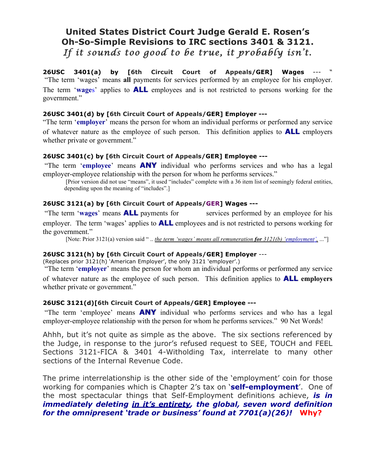# **United States District Court Judge Gerald E. Rosen's Oh-So-Simple Revisions to IRC sections 3401 & 3121.** *If it sounds too good to be true, it probably isn't.*

26USC 3401(a) by [6th Circuit Court of Appeals/GER] Wages "The term 'wages' means **all** payments for services performed by an employee for his employer. The term '**wage**s' applies to **ALL** employees and is not restricted to persons working for the government."

## **26USC 3401(d) by [6th Circuit Court of Appeals/GER] Employer ---**

"The term '**employer**' means the person for whom an individual performs or performed any service of whatever nature as the employee of such person. This definition applies to **ALL** employers whether private or government."

# **26USC 3401(c) by [6th Circuit Court of Appeals/GER] Employee ---**

"The term '**employee**' means **ANY** individual who performs services and who has a legal employer-employee relationship with the person for whom he performs services."

[Prior version did not use "means", it used "includes" complete with a 36 item list of seemingly federal entities, depending upon the meaning of "includes".]

# **26USC 3121(a) by [6th Circuit Court of Appeals/GER] Wages ---**

"The term '**wages**' means **ALL** payments for services performed by an employee for his employer. The term 'wages' applies to **ALL** employees and is not restricted to persons working for the government."

[Note: Prior 3121(a) version said " .. *the term 'wages' means all remuneration for 3121(b) 'employment',* ..."]

# **26USC 3121(h) by [6th Circuit Court of Appeals/GER] Employer** ---

(Replaces prior 3121(h) 'American Employer', the only 3121 'employer'.)

"The term '**employer**' means the person for whom an individual performs or performed any service of whatever nature as the employee of such person. This definition applies to **ALL employers** whether private or government."

## **26USC 3121(d)[6th Circuit Court of Appeals/GER] Employee ---**

"The term 'employee' means **ANY** individual who performs services and who has a legal employer-employee relationship with the person for whom he performs services." 90 Net Words!

Ahhh, but it's not quite as simple as the above. The six sections referenced by the Judge, in response to the juror's refused request to SEE, TOUCH and FEEL Sections 3121-FICA & 3401 4-Witholding Tax, interrelate to many other sections of the Internal Revenue Code.

The prime interrelationship is the other side of the 'employment' coin for those working for companies which is Chapter 2's tax on '**self-employment**'. One of the most spectacular things that Self-Employment definitions achieve, *is in immediately deleting in it's entirety, the global, seven word definition for the omnipresent 'trade or business' found at 7701(a)(26)!* **Why?**